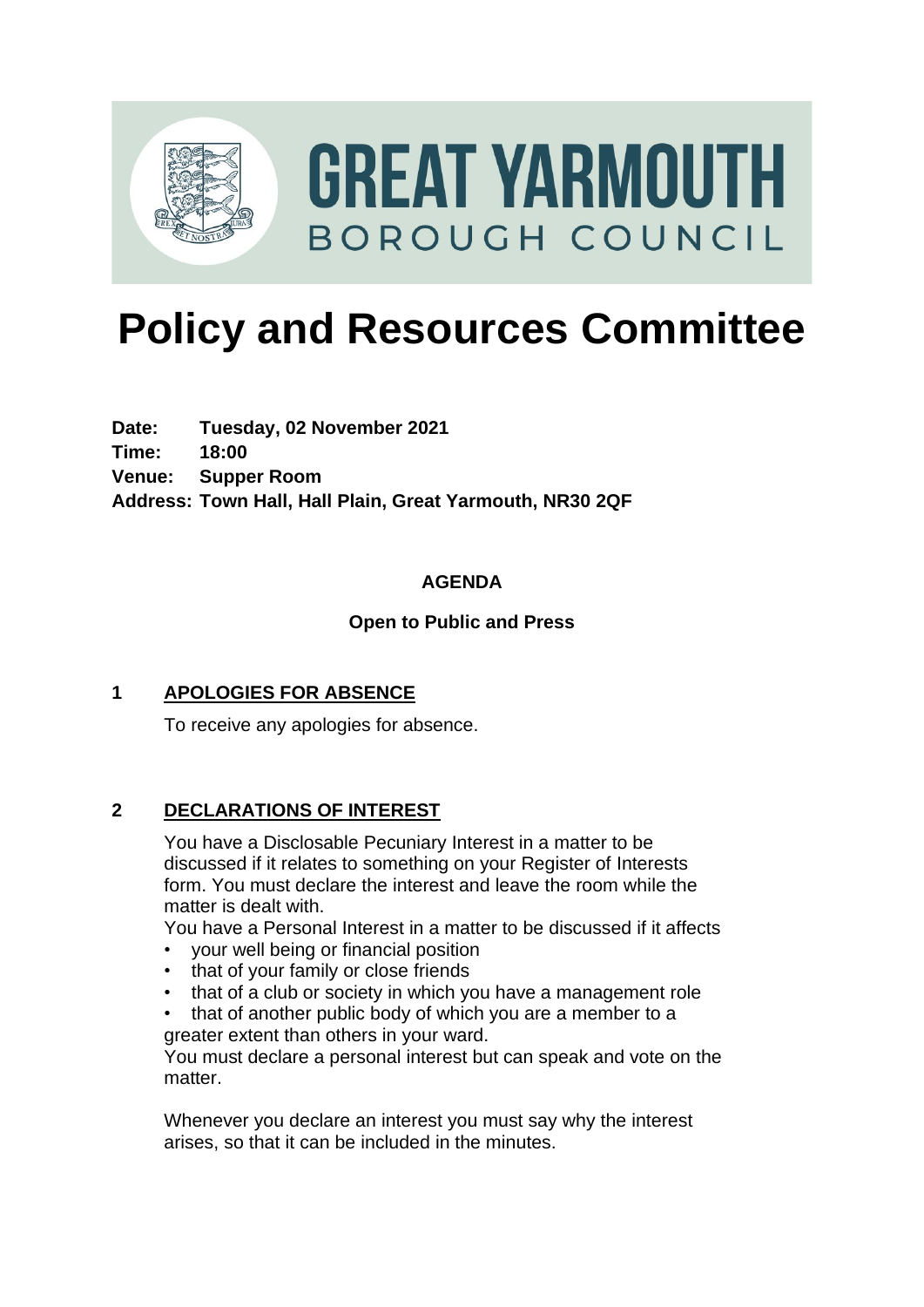

# **Policy and Resources Committee**

**Date: Tuesday, 02 November 2021 Time: 18:00 Venue: Supper Room Address: Town Hall, Hall Plain, Great Yarmouth, NR30 2QF**

# **AGENDA**

### **Open to Public and Press**

# **1 APOLOGIES FOR ABSENCE**

To receive any apologies for absence.

#### **2 DECLARATIONS OF INTEREST**

You have a Disclosable Pecuniary Interest in a matter to be discussed if it relates to something on your Register of Interests form. You must declare the interest and leave the room while the matter is dealt with.

You have a Personal Interest in a matter to be discussed if it affects

- your well being or financial position
- that of your family or close friends
- that of a club or society in which you have a management role

• that of another public body of which you are a member to a greater extent than others in your ward.

You must declare a personal interest but can speak and vote on the matter.

Whenever you declare an interest you must say why the interest arises, so that it can be included in the minutes.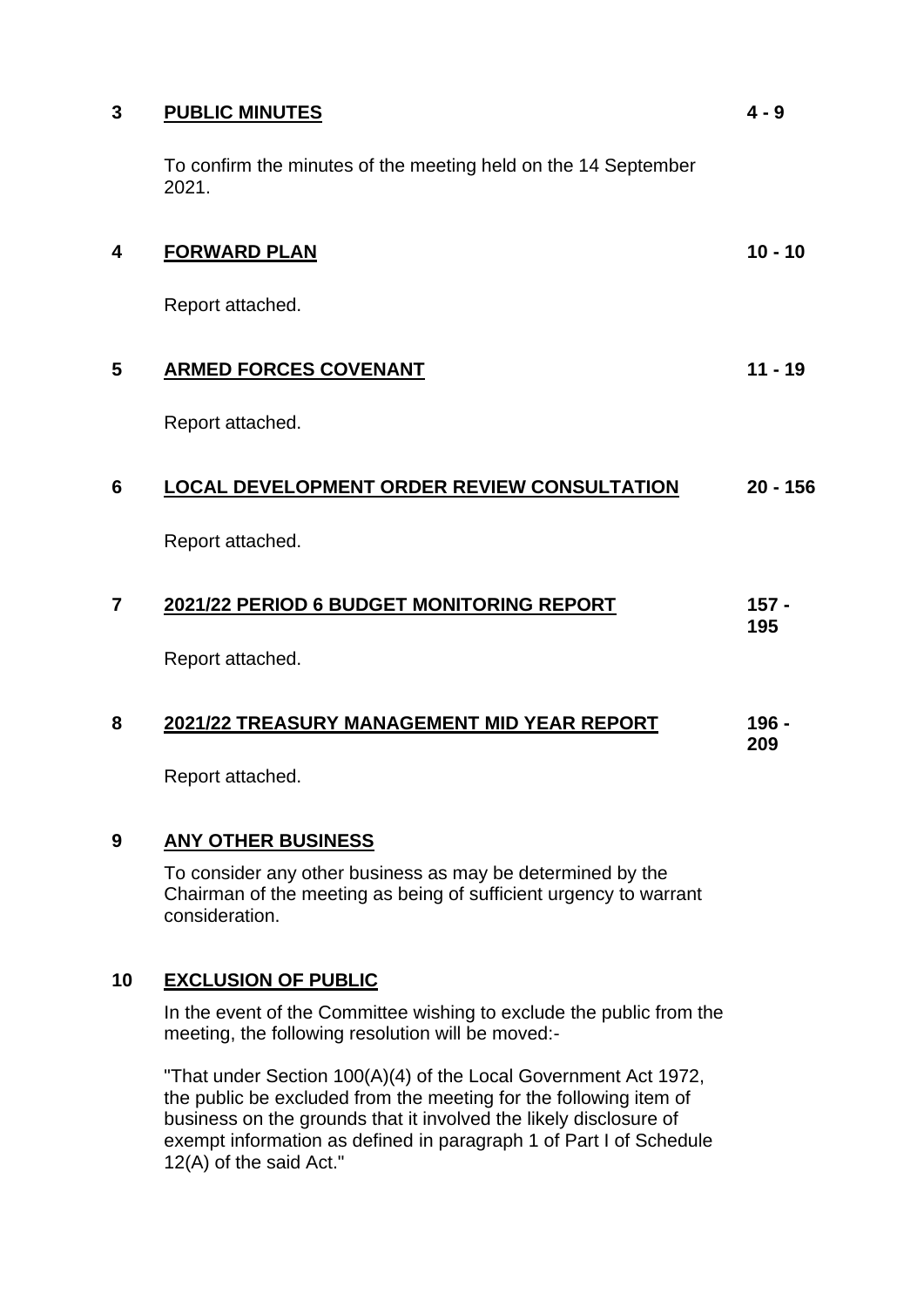#### **3 PUBLIC MINUTES**

To confirm the minutes of the meeting held on the 14 September 2021.

**4 - 9**

| 4 | <b>FORWARD PLAN</b>                                | $10 - 10$      |
|---|----------------------------------------------------|----------------|
|   | Report attached.                                   |                |
| 5 | <b>ARMED FORCES COVENANT</b>                       | $11 - 19$      |
|   | Report attached.                                   |                |
| 6 | <b>LOCAL DEVELOPMENT ORDER REVIEW CONSULTATION</b> | $20 - 156$     |
|   | Report attached.                                   |                |
| 7 | 2021/22 PERIOD 6 BUDGET MONITORING REPORT          | $157 -$<br>195 |
|   | Report attached.                                   |                |
| 8 | 2021/22 TREASURY MANAGEMENT MID YEAR REPORT        | 196 -<br>209   |

Report attached.

#### **9 ANY OTHER BUSINESS**

To consider any other business as may be determined by the Chairman of the meeting as being of sufficient urgency to warrant consideration.

#### **10 EXCLUSION OF PUBLIC**

In the event of the Committee wishing to exclude the public from the meeting, the following resolution will be moved:-

"That under Section 100(A)(4) of the Local Government Act 1972, the public be excluded from the meeting for the following item of business on the grounds that it involved the likely disclosure of exempt information as defined in paragraph 1 of Part I of Schedule 12(A) of the said Act."